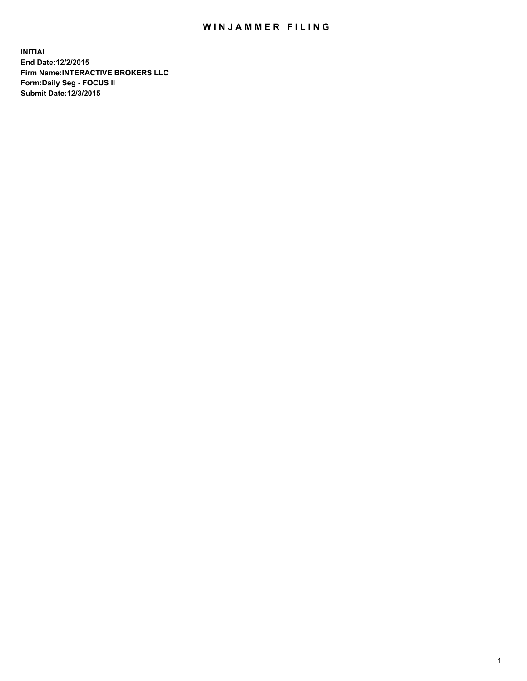## WIN JAMMER FILING

**INITIAL End Date:12/2/2015 Firm Name:INTERACTIVE BROKERS LLC Form:Daily Seg - FOCUS II Submit Date:12/3/2015**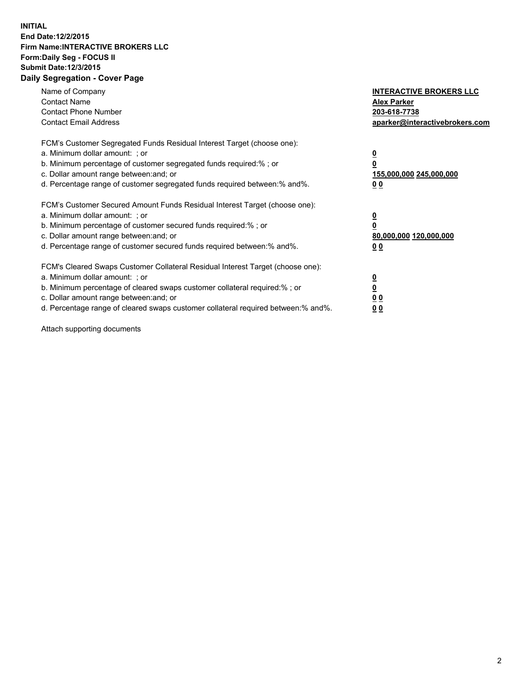## **INITIAL End Date:12/2/2015 Firm Name:INTERACTIVE BROKERS LLC Form:Daily Seg - FOCUS II Submit Date:12/3/2015 Daily Segregation - Cover Page**

| Name of Company<br><b>Contact Name</b><br><b>Contact Phone Number</b><br><b>Contact Email Address</b>                                                                                                                                                                                                                         | <b>INTERACTIVE BROKERS LLC</b><br><b>Alex Parker</b><br>203-618-7738<br>aparker@interactivebrokers.com |
|-------------------------------------------------------------------------------------------------------------------------------------------------------------------------------------------------------------------------------------------------------------------------------------------------------------------------------|--------------------------------------------------------------------------------------------------------|
| FCM's Customer Segregated Funds Residual Interest Target (choose one):<br>a. Minimum dollar amount: ; or<br>b. Minimum percentage of customer segregated funds required:% ; or<br>c. Dollar amount range between: and; or<br>d. Percentage range of customer segregated funds required between:% and%.                        | <u>0</u><br>155,000,000 245,000,000<br>0 <sub>0</sub>                                                  |
| FCM's Customer Secured Amount Funds Residual Interest Target (choose one):<br>a. Minimum dollar amount: ; or<br>b. Minimum percentage of customer secured funds required:%; or<br>c. Dollar amount range between: and; or<br>d. Percentage range of customer secured funds required between: % and %.                         | <u>0</u><br>80,000,000 120,000,000<br><u>00</u>                                                        |
| FCM's Cleared Swaps Customer Collateral Residual Interest Target (choose one):<br>a. Minimum dollar amount: ; or<br>b. Minimum percentage of cleared swaps customer collateral required:%; or<br>c. Dollar amount range between: and; or<br>d. Percentage range of cleared swaps customer collateral required between:% and%. | <u>0</u><br>0 <sub>0</sub><br>0 <sub>0</sub>                                                           |

Attach supporting documents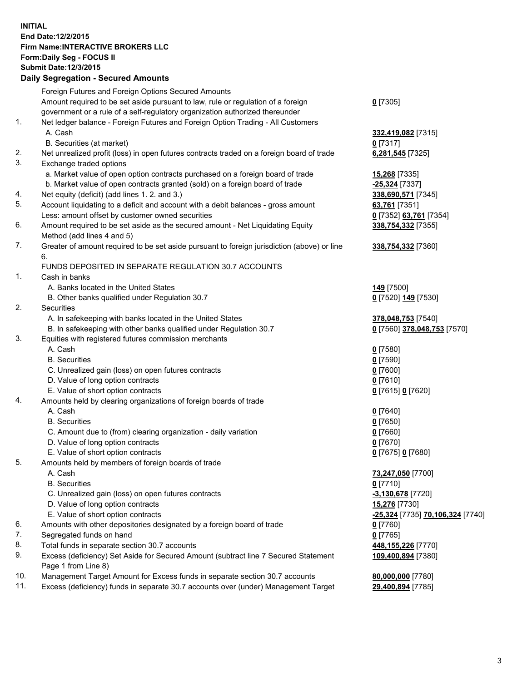## **INITIAL End Date:12/2/2015 Firm Name:INTERACTIVE BROKERS LLC Form:Daily Seg - FOCUS II Submit Date:12/3/2015 Daily Segregation - Secured Amounts**

|     | Dany Ocgregation - Oceanea Annoanta                                                                        |                                  |
|-----|------------------------------------------------------------------------------------------------------------|----------------------------------|
|     | Foreign Futures and Foreign Options Secured Amounts                                                        |                                  |
|     | Amount required to be set aside pursuant to law, rule or regulation of a foreign                           | $0$ [7305]                       |
|     | government or a rule of a self-regulatory organization authorized thereunder                               |                                  |
| 1.  | Net ledger balance - Foreign Futures and Foreign Option Trading - All Customers                            |                                  |
|     | A. Cash                                                                                                    | 332,419,082 [7315]               |
|     | B. Securities (at market)                                                                                  | $0$ [7317]                       |
| 2.  | Net unrealized profit (loss) in open futures contracts traded on a foreign board of trade                  | 6,281,545 [7325]                 |
| 3.  | Exchange traded options                                                                                    |                                  |
|     | a. Market value of open option contracts purchased on a foreign board of trade                             | 15,268 [7335]                    |
|     | b. Market value of open contracts granted (sold) on a foreign board of trade                               | -25,324 [7337]                   |
| 4.  | Net equity (deficit) (add lines 1.2. and 3.)                                                               | 338,690,571 [7345]               |
| 5.  | Account liquidating to a deficit and account with a debit balances - gross amount                          | 63,761 [7351]                    |
|     | Less: amount offset by customer owned securities                                                           | 0 [7352] 63,761 [7354]           |
| 6.  | Amount required to be set aside as the secured amount - Net Liquidating Equity                             | 338,754,332 [7355]               |
|     | Method (add lines 4 and 5)                                                                                 |                                  |
| 7.  | Greater of amount required to be set aside pursuant to foreign jurisdiction (above) or line                | 338,754,332 [7360]               |
|     | 6.                                                                                                         |                                  |
|     | FUNDS DEPOSITED IN SEPARATE REGULATION 30.7 ACCOUNTS                                                       |                                  |
| 1.  | Cash in banks                                                                                              |                                  |
|     | A. Banks located in the United States                                                                      | 149 <sub>[7500]</sub>            |
|     | B. Other banks qualified under Regulation 30.7                                                             | 0 [7520] 149 [7530]              |
| 2.  | Securities                                                                                                 |                                  |
|     | A. In safekeeping with banks located in the United States                                                  | 378,048,753 [7540]               |
|     | B. In safekeeping with other banks qualified under Regulation 30.7                                         | 0 [7560] 378,048,753 [7570]      |
| 3.  | Equities with registered futures commission merchants                                                      |                                  |
|     | A. Cash                                                                                                    | $0$ [7580]                       |
|     | <b>B.</b> Securities                                                                                       | $0$ [7590]                       |
|     | C. Unrealized gain (loss) on open futures contracts                                                        | $0$ [7600]                       |
|     | D. Value of long option contracts                                                                          | $0$ [7610]                       |
|     | E. Value of short option contracts                                                                         | 0 [7615] 0 [7620]                |
| 4.  | Amounts held by clearing organizations of foreign boards of trade                                          |                                  |
|     | A. Cash                                                                                                    | $0$ [7640]                       |
|     | <b>B.</b> Securities                                                                                       | $0$ [7650]                       |
|     | C. Amount due to (from) clearing organization - daily variation                                            | $0$ [7660]                       |
|     | D. Value of long option contracts                                                                          | $0$ [7670]                       |
|     | E. Value of short option contracts                                                                         | 0 [7675] 0 [7680]                |
| 5.  | Amounts held by members of foreign boards of trade                                                         |                                  |
|     | A. Cash                                                                                                    | 73,247,050 [7700]                |
|     | <b>B.</b> Securities                                                                                       | $0$ [7710]                       |
|     | C. Unrealized gain (loss) on open futures contracts                                                        | $-3,130,678$ [7720]              |
|     | D. Value of long option contracts                                                                          | 15,276 [7730]                    |
|     | E. Value of short option contracts                                                                         | -25,324 [7735] 70,106,324 [7740] |
| 6.  | Amounts with other depositories designated by a foreign board of trade                                     | $0$ [7760]                       |
| 7.  | Segregated funds on hand                                                                                   | $0$ [7765]                       |
| 8.  | Total funds in separate section 30.7 accounts                                                              | 448, 155, 226 [7770]             |
| 9.  | Excess (deficiency) Set Aside for Secured Amount (subtract line 7 Secured Statement<br>Page 1 from Line 8) | 109,400,894 [7380]               |
| 10. | Management Target Amount for Excess funds in separate section 30.7 accounts                                | 80,000,000 [7780]                |
| 11. | Excess (deficiency) funds in separate 30.7 accounts over (under) Management Target                         | 29,400,894 [7785]                |
|     |                                                                                                            |                                  |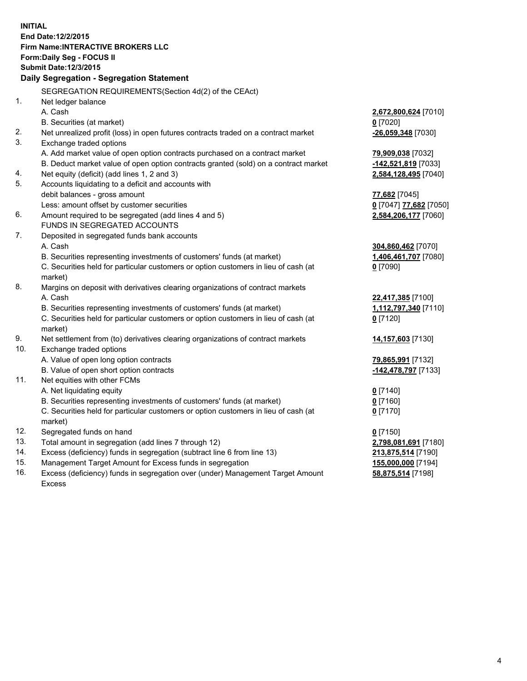**INITIAL End Date:12/2/2015 Firm Name:INTERACTIVE BROKERS LLC Form:Daily Seg - FOCUS II Submit Date:12/3/2015 Daily Segregation - Segregation Statement** SEGREGATION REQUIREMENTS(Section 4d(2) of the CEAct) 1. Net ledger balance A. Cash **2,672,800,624** [7010] B. Securities (at market) **0** [7020] 2. Net unrealized profit (loss) in open futures contracts traded on a contract market **-26,059,348** [7030] 3. Exchange traded options A. Add market value of open option contracts purchased on a contract market **79,909,038** [7032] B. Deduct market value of open option contracts granted (sold) on a contract market **-142,521,819** [7033] 4. Net equity (deficit) (add lines 1, 2 and 3) **2,584,128,495** [7040] 5. Accounts liquidating to a deficit and accounts with debit balances - gross amount **77,682** [7045] Less: amount offset by customer securities **0** [7047] **77,682** [7050] 6. Amount required to be segregated (add lines 4 and 5) **2,584,206,177** [7060] FUNDS IN SEGREGATED ACCOUNTS 7. Deposited in segregated funds bank accounts A. Cash **304,860,462** [7070] B. Securities representing investments of customers' funds (at market) **1,406,461,707** [7080] C. Securities held for particular customers or option customers in lieu of cash (at market) **0** [7090] 8. Margins on deposit with derivatives clearing organizations of contract markets A. Cash **22,417,385** [7100] B. Securities representing investments of customers' funds (at market) **1,112,797,340** [7110] C. Securities held for particular customers or option customers in lieu of cash (at market) **0** [7120] 9. Net settlement from (to) derivatives clearing organizations of contract markets **14,157,603** [7130] 10. Exchange traded options A. Value of open long option contracts **79,865,991** [7132] B. Value of open short option contracts **-142,478,797** [7133] 11. Net equities with other FCMs A. Net liquidating equity **0** [7140] B. Securities representing investments of customers' funds (at market) **0** [7160] C. Securities held for particular customers or option customers in lieu of cash (at market) **0** [7170] 12. Segregated funds on hand **0** [7150] 13. Total amount in segregation (add lines 7 through 12) **2,798,081,691** [7180] 14. Excess (deficiency) funds in segregation (subtract line 6 from line 13) **213,875,514** [7190] 15. Management Target Amount for Excess funds in segregation **155,000,000** [7194] **58,875,514** [7198]

16. Excess (deficiency) funds in segregation over (under) Management Target Amount Excess